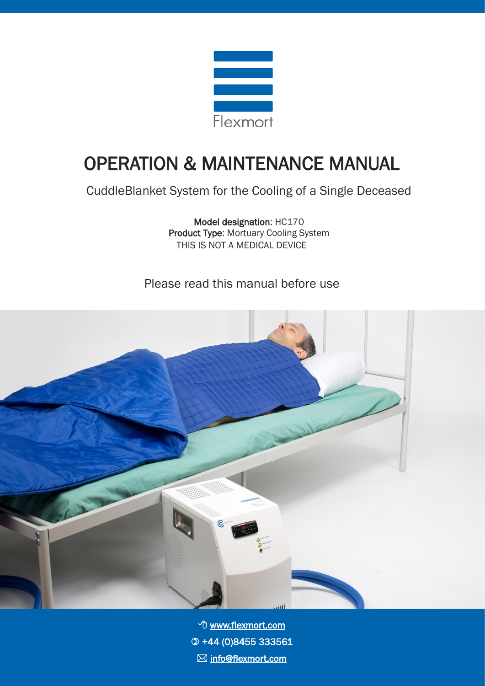

# OPERATION & MAINTENANCE MANUAL

CuddleBlanket System for the Cooling of a Single Deceased

Model designation: HC170 Product Type: Mortuary Cooling System THIS IS NOT A MEDICAL DEVICE

Please read this manual before use



**<sup>○</sup> <u>[www.flexmort.com](https://www.flexmort.com/)</u>**  +44 (0)8455 333561 **info@flexmort.com**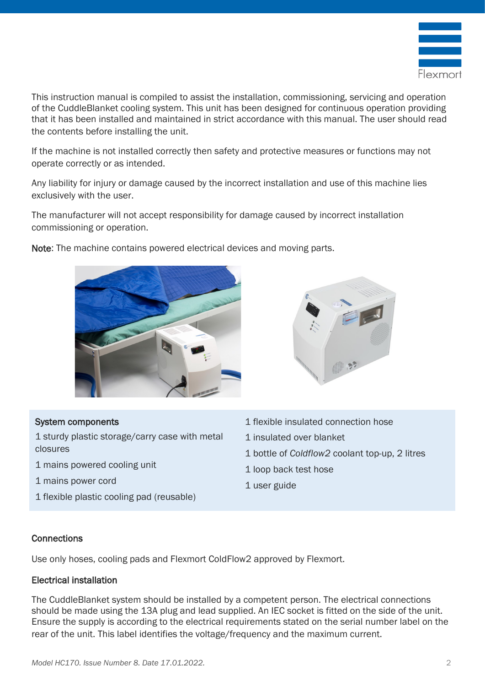

This instruction manual is compiled to assist the installation, commissioning, servicing and operation of the CuddleBlanket cooling system. This unit has been designed for continuous operation providing that it has been installed and maintained in strict accordance with this manual. The user should read the contents before installing the unit.

If the machine is not installed correctly then safety and protective measures or functions may not operate correctly or as intended.

Any liability for injury or damage caused by the incorrect installation and use of this machine lies exclusively with the user.

The manufacturer will not accept responsibility for damage caused by incorrect installation commissioning or operation.



Note: The machine contains powered electrical devices and moving parts.



#### System components

1 sturdy plastic storage/carry case with metal closures

- 1 mains powered cooling unit
- 1 mains power cord
- 1 flexible plastic cooling pad (reusable)
- 1 flexible insulated connection hose
- 1 insulated over blanket
- 1 bottle of *Coldflow2* coolant top-up, 2 litres
- 1 loop back test hose
- 1 user guide

#### **Connections**

Use only hoses, cooling pads and Flexmort ColdFlow2 approved by Flexmort.

#### Electrical installation

The CuddleBlanket system should be installed by a competent person. The electrical connections should be made using the 13A plug and lead supplied. An IEC socket is fitted on the side of the unit. Ensure the supply is according to the electrical requirements stated on the serial number label on the rear of the unit. This label identifies the voltage/frequency and the maximum current.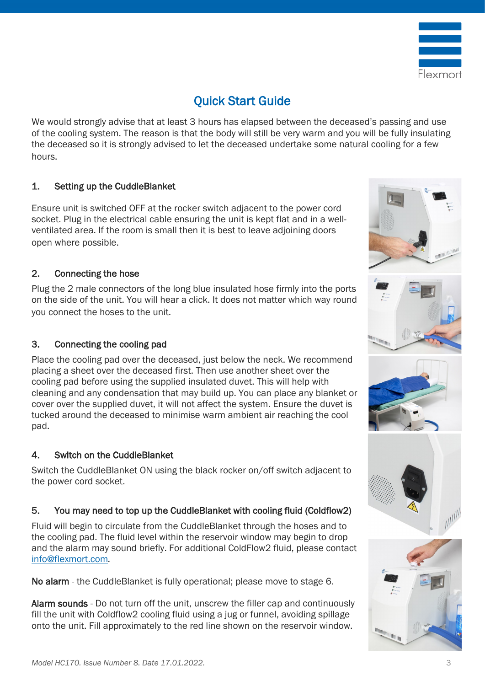

# Quick Start Guide

We would strongly advise that at least 3 hours has elapsed between the deceased's passing and use of the cooling system. The reason is that the body will still be very warm and you will be fully insulating the deceased so it is strongly advised to let the deceased undertake some natural cooling for a few hours.

#### 1. Setting up the CuddleBlanket

Ensure unit is switched OFF at the rocker switch adjacent to the power cord socket. Plug in the electrical cable ensuring the unit is kept flat and in a wellventilated area. If the room is small then it is best to leave adjoining doors open where possible.

#### 2. Connecting the hose

Plug the 2 male connectors of the long blue insulated hose firmly into the ports on the side of the unit. You will hear a click. It does not matter which way round you connect the hoses to the unit.

#### 3. Connecting the cooling pad

Place the cooling pad over the deceased, just below the neck. We recommend placing a sheet over the deceased first. Then use another sheet over the cooling pad before using the supplied insulated duvet. This will help with cleaning and any condensation that may build up. You can place any blanket or cover over the supplied duvet, it will not affect the system. Ensure the duvet is tucked around the deceased to minimise warm ambient air reaching the cool pad.

#### 4. Switch on the CuddleBlanket

Switch the CuddleBlanket ON using the black rocker on/off switch adjacent to the power cord socket.

#### 5. You may need to top up the CuddleBlanket with cooling fluid (Coldflow2)

Fluid will begin to circulate from the CuddleBlanket through the hoses and to the cooling pad. The fluid level within the reservoir window may begin to drop and the alarm may sound briefly. For additional ColdFlow2 fluid, please contact [info@flexmort.com](mailto:info@flexmort.com?subject=CuddleBlanket%20Manual%20Enquiry)*.*

No alarm - the CuddleBlanket is fully operational; please move to stage 6.

Alarm sounds - Do not turn off the unit, unscrew the filler cap and continuously fill the unit with Coldflow2 cooling fluid using a jug or funnel, avoiding spillage onto the unit. Fill approximately to the red line shown on the reservoir window.

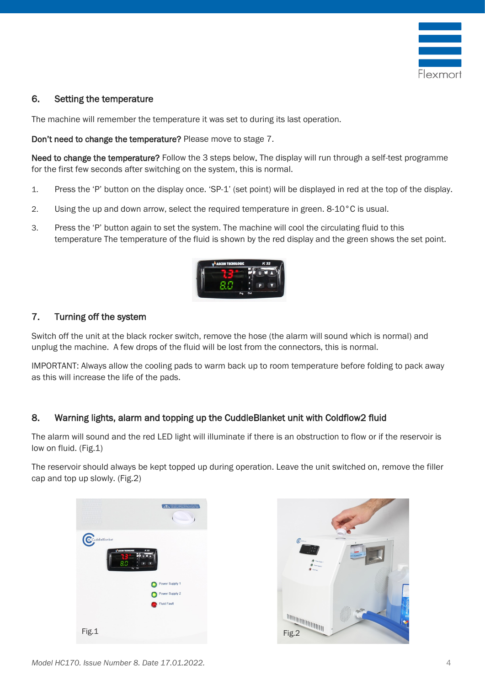

#### 6. Setting the temperature

The machine will remember the temperature it was set to during its last operation.

Don't need to change the temperature? Please move to stage 7.

Need to change the temperature? Follow the 3 steps below. The display will run through a self-test programme for the first few seconds after switching on the system, this is normal.

- 1. Press the 'P' button on the display once. 'SP-1' (set point) will be displayed in red at the top of the display.
- 2. Using the up and down arrow, select the required temperature in green. 8-10°C is usual.
- 3. Press the 'P' button again to set the system. The machine will cool the circulating fluid to this temperature The temperature of the fluid is shown by the red display and the green shows the set point.



#### 7. Turning off the system

Switch off the unit at the black rocker switch, remove the hose (the alarm will sound which is normal) and unplug the machine. A few drops of the fluid will be lost from the connectors, this is normal.

IMPORTANT: Always allow the cooling pads to warm back up to room temperature before folding to pack away as this will increase the life of the pads.

#### 8. Warning lights, alarm and topping up the CuddleBlanket unit with Coldflow2 fluid

The alarm will sound and the red LED light will illuminate if there is an obstruction to flow or if the reservoir is low on fluid. (Fig.1)

The reservoir should always be kept topped up during operation. Leave the unit switched on, remove the filler cap and top up slowly. (Fig.2)

| 8888          |                                              |                                                           |
|---------------|----------------------------------------------|-----------------------------------------------------------|
| CuddleBlanket | A ASCOM TECNOLOGIC<br>K 32<br>8.0<br>$PQ$ OA | $\epsilon$                                                |
|               | Power Supply 1                               |                                                           |
|               | Power Supply 2                               |                                                           |
|               | <b>Fluid Fault</b>                           |                                                           |
|               |                                              | $\frac{\mathbb{I}_{\text{min}}}{\mathbb{I}_{\text{max}}}$ |
| Fig.1         |                                              |                                                           |

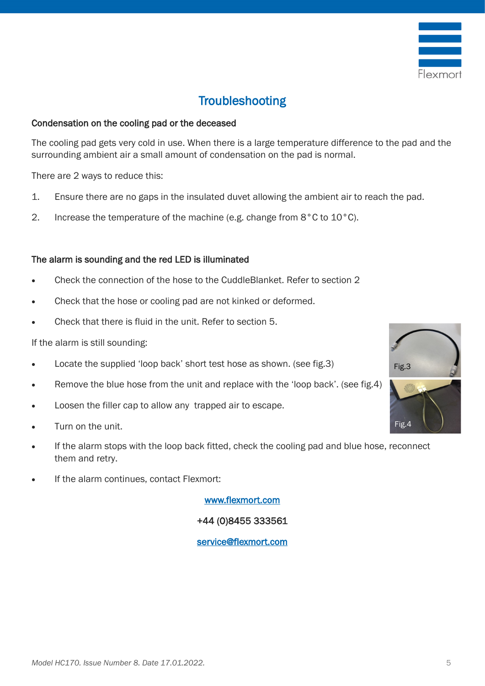

# **Troubleshooting**

#### Condensation on the cooling pad or the deceased

The cooling pad gets very cold in use. When there is a large temperature difference to the pad and the surrounding ambient air a small amount of condensation on the pad is normal.

There are 2 ways to reduce this:

- 1. Ensure there are no gaps in the insulated duvet allowing the ambient air to reach the pad.
- 2. Increase the temperature of the machine (e.g. change from 8°C to 10°C).

#### The alarm is sounding and the red LED is illuminated

- Check the connection of the hose to the CuddleBlanket. Refer to section 2
- Check that the hose or cooling pad are not kinked or deformed.
- Check that there is fluid in the unit. Refer to section 5.

If the alarm is still sounding:

- Locate the supplied 'loop back' short test hose as shown. (see fig.3)
- Remove the blue hose from the unit and replace with the 'loop back'. (see fig.4)
- Loosen the filler cap to allow any trapped air to escape.
- Turn on the unit.
- If the alarm stops with the loop back fitted, check the cooling pad and blue hose, reconnect them and retry.
- If the alarm continues, contact Flexmort:

[www.flexmort.com](https://www.flexmort.com/)

+44 (0)8455 333561

#### [service@flexmort.com](mailto:service@flexmort.com?subject=CuddleBlanket%20Manual%20Enquiry)



Fig.4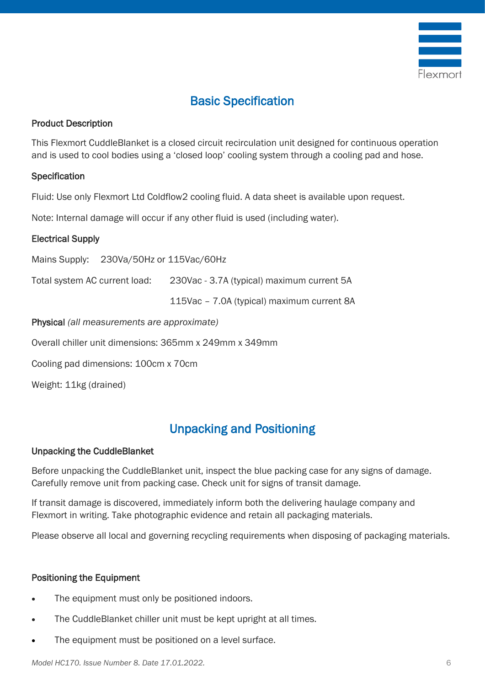

# Basic Specification

#### Product Description

This Flexmort CuddleBlanket is a closed circuit recirculation unit designed for continuous operation and is used to cool bodies using a 'closed loop' cooling system through a cooling pad and hose.

#### **Specification**

Fluid: Use only Flexmort Ltd Coldflow2 cooling fluid. A data sheet is available upon request.

Note: Internal damage will occur if any other fluid is used (including water).

#### Electrical Supply

Mains Supply: 230Va/50Hz or 115Vac/60Hz

Total system AC current load: 230Vac - 3.7A (typical) maximum current 5A

115Vac – 7.0A (typical) maximum current 8A

Physical *(all measurements are approximate)*

Overall chiller unit dimensions: 365mm x 249mm x 349mm

Cooling pad dimensions: 100cm x 70cm

Weight: 11kg (drained)

### Unpacking and Positioning

#### Unpacking the CuddleBlanket

Before unpacking the CuddleBlanket unit, inspect the blue packing case for any signs of damage. Carefully remove unit from packing case. Check unit for signs of transit damage.

If transit damage is discovered, immediately inform both the delivering haulage company and Flexmort in writing. Take photographic evidence and retain all packaging materials.

Please observe all local and governing recycling requirements when disposing of packaging materials.

#### Positioning the Equipment

- The equipment must only be positioned indoors.
- The CuddleBlanket chiller unit must be kept upright at all times.
- The equipment must be positioned on a level surface.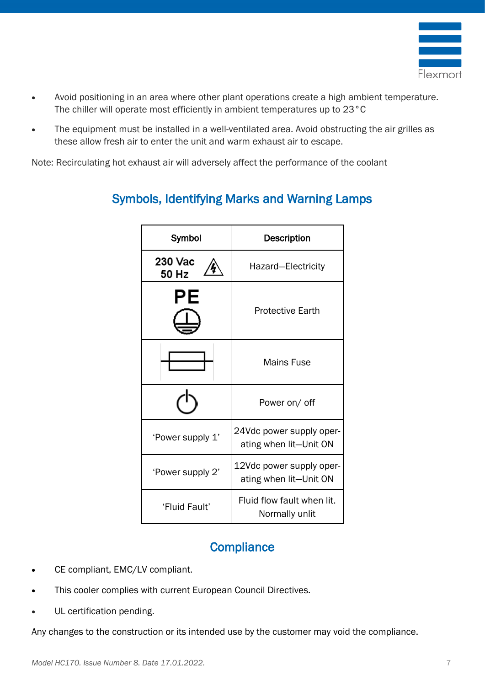

- Avoid positioning in an area where other plant operations create a high ambient temperature. The chiller will operate most efficiently in ambient temperatures up to 23°C
- The equipment must be installed in a well-ventilated area. Avoid obstructing the air grilles as these allow fresh air to enter the unit and warm exhaust air to escape.

Note: Recirculating hot exhaust air will adversely affect the performance of the coolant

| Symbol           | <b>Description</b>                                 |  |
|------------------|----------------------------------------------------|--|
| 230 Vac<br>50 Hz | Hazard-Electricity                                 |  |
| PЕ               | <b>Protective Earth</b>                            |  |
|                  | <b>Mains Fuse</b>                                  |  |
|                  | Power on/ off                                      |  |
| 'Power supply 1' | 24Vdc power supply oper-<br>ating when lit-Unit ON |  |
| 'Power supply 2' | 12Vdc power supply oper-<br>ating when lit-Unit ON |  |
| 'Fluid Fault'    | Fluid flow fault when lit.<br>Normally unlit       |  |

### Symbols, Identifying Marks and Warning Lamps

### **Compliance**

- CE compliant, EMC/LV compliant.
- This cooler complies with current European Council Directives.
- UL certification pending.

Any changes to the construction or its intended use by the customer may void the compliance.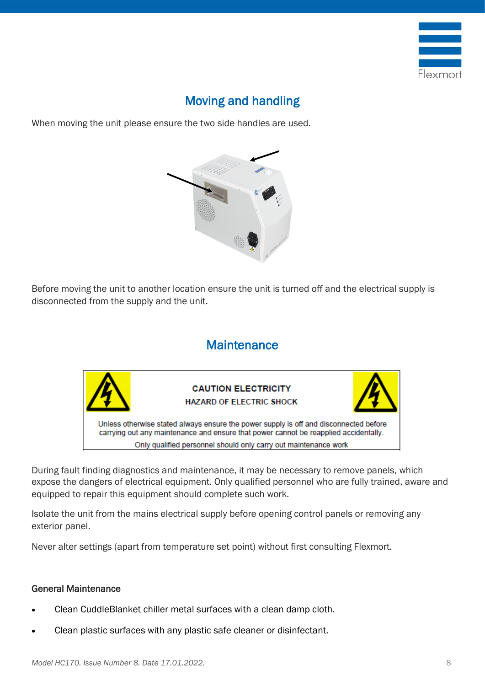

# Moving and handling

When moving the unit please ensure the two side handles are used.



Before moving the unit to another location ensure the unit is turned off and the electrical supply is disconnected from the supply and the unit.

### **Maintenance**



During fault finding diagnostics and maintenance, it may be necessary to remove panels, which expose the dangers of electrical equipment. Only qualified personnel who are fully trained, aware and equipped to repair this equipment should complete such work.

Isolate the unit from the mains electrical supply before opening control panels or removing any exterior panel.

Never alter settings (apart from temperature set point) without first consulting Flexmort.

#### General Maintenance

- Clean CuddleBlanket chiller metal surfaces with a clean damp cloth.
- Clean plastic surfaces with any plastic safe cleaner or disinfectant.